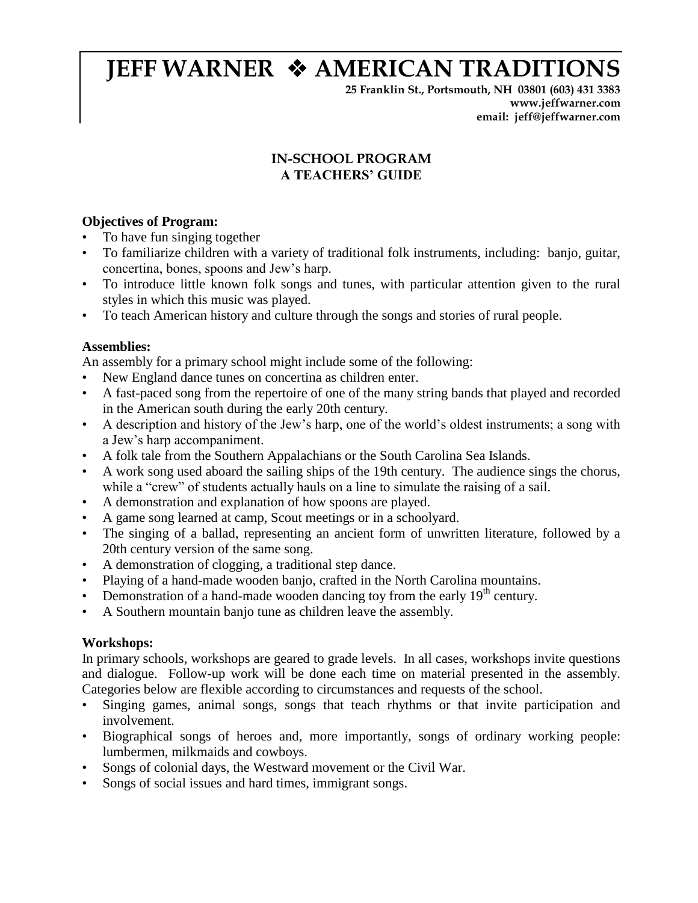# **JEFF WARNER**  $\triangle$  **AMERICAN TRADITIONS**

**25 Franklin St., Portsmouth, NH 03801 (603) 431 3383 www.jeffwarner.com email: jeff@jeffwarner.com**

# **IN-SCHOOL PROGRAM A TEACHERS' GUIDE**

# **Objectives of Program:**

- To have fun singing together
- To familiarize children with a variety of traditional folk instruments, including: banjo, guitar, concertina, bones, spoons and Jew's harp.
- To introduce little known folk songs and tunes, with particular attention given to the rural styles in which this music was played.
- To teach American history and culture through the songs and stories of rural people.

# **Assemblies:**

An assembly for a primary school might include some of the following:

- New England dance tunes on concertina as children enter.
- A fast-paced song from the repertoire of one of the many string bands that played and recorded in the American south during the early 20th century.
- A description and history of the Jew's harp, one of the world's oldest instruments; a song with a Jew's harp accompaniment.
- A folk tale from the Southern Appalachians or the South Carolina Sea Islands.
- A work song used aboard the sailing ships of the 19th century. The audience sings the chorus, while a "crew" of students actually hauls on a line to simulate the raising of a sail.
- A demonstration and explanation of how spoons are played.
- A game song learned at camp, Scout meetings or in a schoolyard.
- The singing of a ballad, representing an ancient form of unwritten literature, followed by a 20th century version of the same song.
- A demonstration of clogging, a traditional step dance.
- Playing of a hand-made wooden banjo, crafted in the North Carolina mountains.
- Demonstration of a hand-made wooden dancing toy from the early  $19<sup>th</sup>$  century.
- A Southern mountain banjo tune as children leave the assembly.

# **Workshops:**

In primary schools, workshops are geared to grade levels. In all cases, workshops invite questions and dialogue. Follow-up work will be done each time on material presented in the assembly. Categories below are flexible according to circumstances and requests of the school.

- Singing games, animal songs, songs that teach rhythms or that invite participation and involvement.
- Biographical songs of heroes and, more importantly, songs of ordinary working people: lumbermen, milkmaids and cowboys.
- Songs of colonial days, the Westward movement or the Civil War.
- Songs of social issues and hard times, immigrant songs.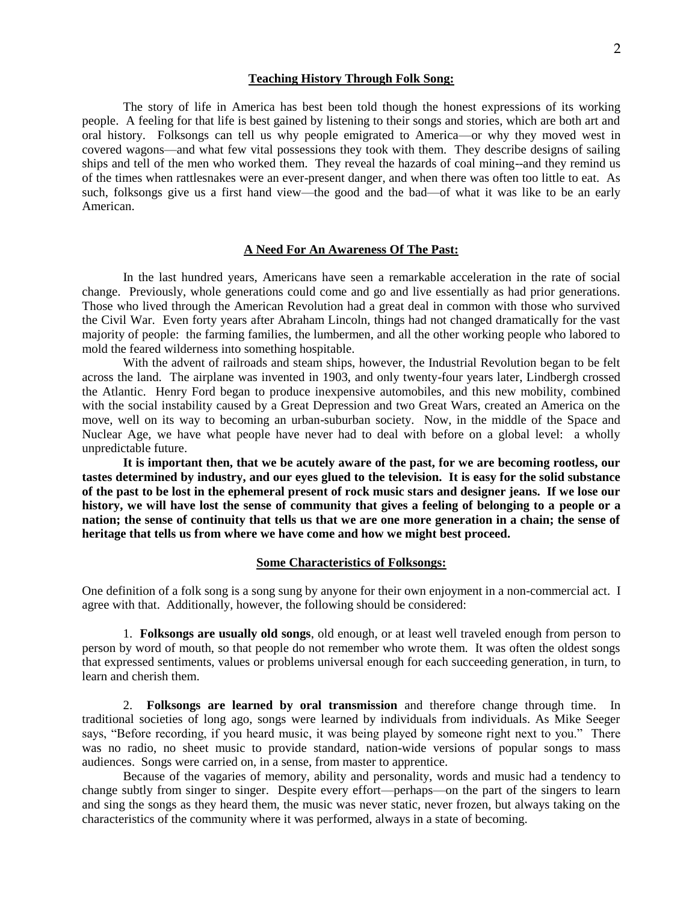#### **Teaching History Through Folk Song:**

The story of life in America has best been told though the honest expressions of its working people. A feeling for that life is best gained by listening to their songs and stories, which are both art and oral history. Folksongs can tell us why people emigrated to America—or why they moved west in covered wagons—and what few vital possessions they took with them. They describe designs of sailing ships and tell of the men who worked them. They reveal the hazards of coal mining--and they remind us of the times when rattlesnakes were an ever-present danger, and when there was often too little to eat. As such, folksongs give us a first hand view—the good and the bad—of what it was like to be an early American.

# **A Need For An Awareness Of The Past:**

In the last hundred years, Americans have seen a remarkable acceleration in the rate of social change. Previously, whole generations could come and go and live essentially as had prior generations. Those who lived through the American Revolution had a great deal in common with those who survived the Civil War. Even forty years after Abraham Lincoln, things had not changed dramatically for the vast majority of people: the farming families, the lumbermen, and all the other working people who labored to mold the feared wilderness into something hospitable.

With the advent of railroads and steam ships, however, the Industrial Revolution began to be felt across the land. The airplane was invented in 1903, and only twenty-four years later, Lindbergh crossed the Atlantic. Henry Ford began to produce inexpensive automobiles, and this new mobility, combined with the social instability caused by a Great Depression and two Great Wars, created an America on the move, well on its way to becoming an urban-suburban society. Now, in the middle of the Space and Nuclear Age, we have what people have never had to deal with before on a global level: a wholly unpredictable future.

**It is important then, that we be acutely aware of the past, for we are becoming rootless, our tastes determined by industry, and our eyes glued to the television. It is easy for the solid substance of the past to be lost in the ephemeral present of rock music stars and designer jeans. If we lose our history, we will have lost the sense of community that gives a feeling of belonging to a people or a nation; the sense of continuity that tells us that we are one more generation in a chain; the sense of heritage that tells us from where we have come and how we might best proceed.** 

#### **Some Characteristics of Folksongs:**

One definition of a folk song is a song sung by anyone for their own enjoyment in a non-commercial act. I agree with that. Additionally, however, the following should be considered:

1. **Folksongs are usually old songs**, old enough, or at least well traveled enough from person to person by word of mouth, so that people do not remember who wrote them. It was often the oldest songs that expressed sentiments, values or problems universal enough for each succeeding generation, in turn, to learn and cherish them.

2. **Folksongs are learned by oral transmission** and therefore change through time. In traditional societies of long ago, songs were learned by individuals from individuals. As Mike Seeger says, "Before recording, if you heard music, it was being played by someone right next to you." There was no radio, no sheet music to provide standard, nation-wide versions of popular songs to mass audiences. Songs were carried on, in a sense, from master to apprentice.

Because of the vagaries of memory, ability and personality, words and music had a tendency to change subtly from singer to singer. Despite every effort—perhaps—on the part of the singers to learn and sing the songs as they heard them, the music was never static, never frozen, but always taking on the characteristics of the community where it was performed, always in a state of becoming.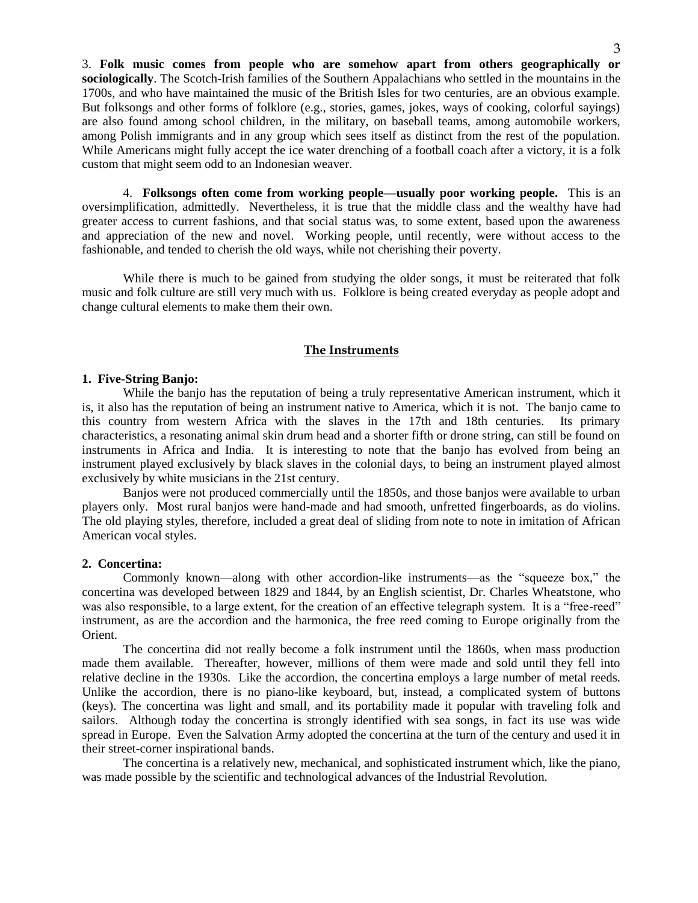3. **Folk music comes from people who are somehow apart from others geographically or sociologically**. The Scotch-Irish families of the Southern Appalachians who settled in the mountains in the 1700s, and who have maintained the music of the British Isles for two centuries, are an obvious example. But folksongs and other forms of folklore (e.g., stories, games, jokes, ways of cooking, colorful sayings) are also found among school children, in the military, on baseball teams, among automobile workers, among Polish immigrants and in any group which sees itself as distinct from the rest of the population. While Americans might fully accept the ice water drenching of a football coach after a victory, it is a folk custom that might seem odd to an Indonesian weaver.

4. **Folksongs often come from working people—usually poor working people.** This is an oversimplification, admittedly. Nevertheless, it is true that the middle class and the wealthy have had greater access to current fashions, and that social status was, to some extent, based upon the awareness and appreciation of the new and novel. Working people, until recently, were without access to the fashionable, and tended to cherish the old ways, while not cherishing their poverty.

While there is much to be gained from studying the older songs, it must be reiterated that folk music and folk culture are still very much with us. Folklore is being created everyday as people adopt and change cultural elements to make them their own.

## **The Instruments**

#### **1. Five-String Banjo:**

While the banjo has the reputation of being a truly representative American instrument, which it is, it also has the reputation of being an instrument native to America, which it is not. The banjo came to this country from western Africa with the slaves in the 17th and 18th centuries. Its primary characteristics, a resonating animal skin drum head and a shorter fifth or drone string, can still be found on instruments in Africa and India. It is interesting to note that the banjo has evolved from being an instrument played exclusively by black slaves in the colonial days, to being an instrument played almost exclusively by white musicians in the 21st century.

Banjos were not produced commercially until the 1850s, and those banjos were available to urban players only. Most rural banjos were hand-made and had smooth, unfretted fingerboards, as do violins. The old playing styles, therefore, included a great deal of sliding from note to note in imitation of African American vocal styles.

## **2. Concertina:**

Commonly known—along with other accordion-like instruments—as the "squeeze box," the concertina was developed between 1829 and 1844, by an English scientist, Dr. Charles Wheatstone, who was also responsible, to a large extent, for the creation of an effective telegraph system. It is a "free-reed" instrument, as are the accordion and the harmonica, the free reed coming to Europe originally from the Orient.

The concertina did not really become a folk instrument until the 1860s, when mass production made them available. Thereafter, however, millions of them were made and sold until they fell into relative decline in the 1930s. Like the accordion, the concertina employs a large number of metal reeds. Unlike the accordion, there is no piano-like keyboard, but, instead, a complicated system of buttons (keys). The concertina was light and small, and its portability made it popular with traveling folk and sailors. Although today the concertina is strongly identified with sea songs, in fact its use was wide spread in Europe. Even the Salvation Army adopted the concertina at the turn of the century and used it in their street-corner inspirational bands.

The concertina is a relatively new, mechanical, and sophisticated instrument which, like the piano, was made possible by the scientific and technological advances of the Industrial Revolution.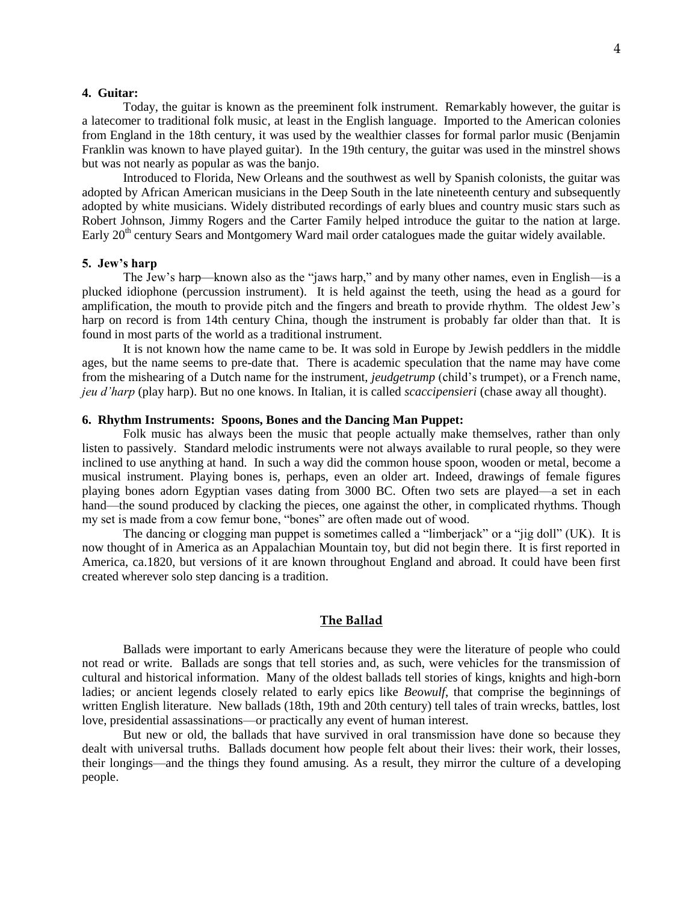#### **4. Guitar:**

Today, the guitar is known as the preeminent folk instrument. Remarkably however, the guitar is a latecomer to traditional folk music, at least in the English language. Imported to the American colonies from England in the 18th century, it was used by the wealthier classes for formal parlor music (Benjamin Franklin was known to have played guitar). In the 19th century, the guitar was used in the minstrel shows but was not nearly as popular as was the banjo.

Introduced to Florida, New Orleans and the southwest as well by Spanish colonists, the guitar was adopted by African American musicians in the Deep South in the late nineteenth century and subsequently adopted by white musicians. Widely distributed recordings of early blues and country music stars such as Robert Johnson, Jimmy Rogers and the Carter Family helped introduce the guitar to the nation at large. Early 20<sup>th</sup> century Sears and Montgomery Ward mail order catalogues made the guitar widely available.

## **5. Jew's harp**

The Jew's harp—known also as the "jaws harp," and by many other names, even in English—is a plucked idiophone (percussion instrument). It is held against the teeth, using the head as a gourd for amplification, the mouth to provide pitch and the fingers and breath to provide rhythm. The oldest Jew's harp on record is from 14th century China, though the instrument is probably far older than that. It is found in most parts of the world as a traditional instrument.

It is not known how the name came to be. It was sold in Europe by Jewish peddlers in the middle ages, but the name seems to pre-date that. There is academic speculation that the name may have come from the mishearing of a Dutch name for the instrument, *jeudgetrump* (child's trumpet), or a French name, *jeu d'harp* (play harp). But no one knows. In Italian, it is called *scaccipensieri* (chase away all thought).

## **6. Rhythm Instruments: Spoons, Bones and the Dancing Man Puppet:**

Folk music has always been the music that people actually make themselves, rather than only listen to passively. Standard melodic instruments were not always available to rural people, so they were inclined to use anything at hand. In such a way did the common house spoon, wooden or metal, become a musical instrument. Playing bones is, perhaps, even an older art. Indeed, drawings of female figures playing bones adorn Egyptian vases dating from 3000 BC. Often two sets are played—a set in each hand—the sound produced by clacking the pieces, one against the other, in complicated rhythms. Though my set is made from a cow femur bone, "bones" are often made out of wood.

The dancing or clogging man puppet is sometimes called a "limberjack" or a "jig doll" (UK). It is now thought of in America as an Appalachian Mountain toy, but did not begin there. It is first reported in America, ca.1820, but versions of it are known throughout England and abroad. It could have been first created wherever solo step dancing is a tradition.

#### **The Ballad**

Ballads were important to early Americans because they were the literature of people who could not read or write. Ballads are songs that tell stories and, as such, were vehicles for the transmission of cultural and historical information. Many of the oldest ballads tell stories of kings, knights and high-born ladies; or ancient legends closely related to early epics like *Beowulf*, that comprise the beginnings of written English literature. New ballads (18th, 19th and 20th century) tell tales of train wrecks, battles, lost love, presidential assassinations—or practically any event of human interest.

But new or old, the ballads that have survived in oral transmission have done so because they dealt with universal truths. Ballads document how people felt about their lives: their work, their losses, their longings—and the things they found amusing. As a result, they mirror the culture of a developing people.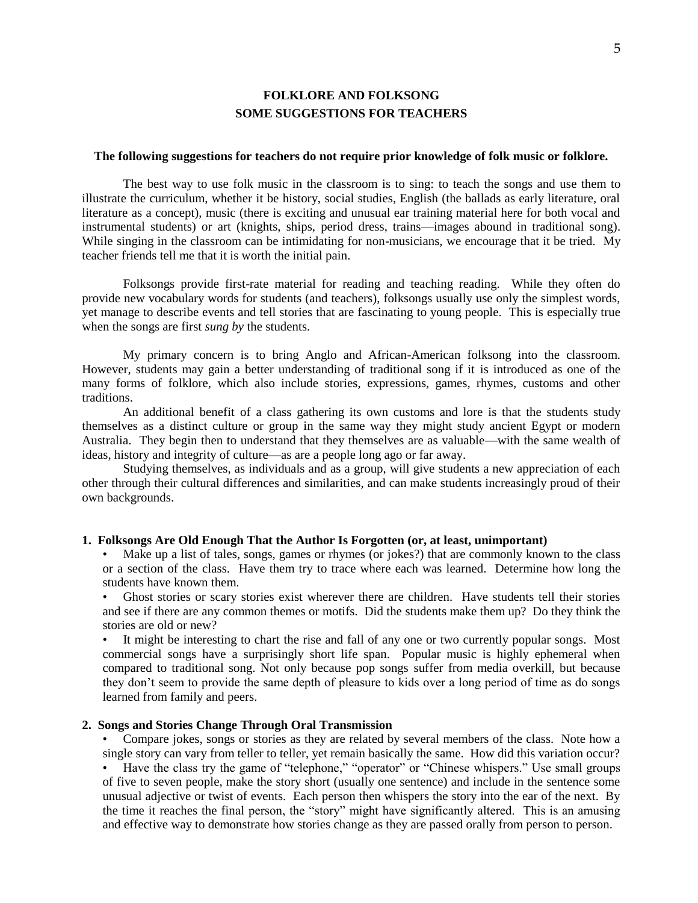# **FOLKLORE AND FOLKSONG SOME SUGGESTIONS FOR TEACHERS**

#### **The following suggestions for teachers do not require prior knowledge of folk music or folklore.**

The best way to use folk music in the classroom is to sing: to teach the songs and use them to illustrate the curriculum, whether it be history, social studies, English (the ballads as early literature, oral literature as a concept), music (there is exciting and unusual ear training material here for both vocal and instrumental students) or art (knights, ships, period dress, trains—images abound in traditional song). While singing in the classroom can be intimidating for non-musicians, we encourage that it be tried. My teacher friends tell me that it is worth the initial pain.

Folksongs provide first-rate material for reading and teaching reading. While they often do provide new vocabulary words for students (and teachers), folksongs usually use only the simplest words, yet manage to describe events and tell stories that are fascinating to young people. This is especially true when the songs are first *sung by* the students.

My primary concern is to bring Anglo and African-American folksong into the classroom. However, students may gain a better understanding of traditional song if it is introduced as one of the many forms of folklore, which also include stories, expressions, games, rhymes, customs and other traditions.

An additional benefit of a class gathering its own customs and lore is that the students study themselves as a distinct culture or group in the same way they might study ancient Egypt or modern Australia. They begin then to understand that they themselves are as valuable—with the same wealth of ideas, history and integrity of culture—as are a people long ago or far away.

Studying themselves, as individuals and as a group, will give students a new appreciation of each other through their cultural differences and similarities, and can make students increasingly proud of their own backgrounds.

## **1. Folksongs Are Old Enough That the Author Is Forgotten (or, at least, unimportant)**

• Make up a list of tales, songs, games or rhymes (or jokes?) that are commonly known to the class or a section of the class. Have them try to trace where each was learned. Determine how long the students have known them.

• Ghost stories or scary stories exist wherever there are children. Have students tell their stories and see if there are any common themes or motifs. Did the students make them up? Do they think the stories are old or new?

It might be interesting to chart the rise and fall of any one or two currently popular songs. Most commercial songs have a surprisingly short life span. Popular music is highly ephemeral when compared to traditional song. Not only because pop songs suffer from media overkill, but because they don't seem to provide the same depth of pleasure to kids over a long period of time as do songs learned from family and peers.

#### **2. Songs and Stories Change Through Oral Transmission**

• Compare jokes, songs or stories as they are related by several members of the class. Note how a single story can vary from teller to teller, yet remain basically the same. How did this variation occur? • Have the class try the game of "telephone," "operator" or "Chinese whispers." Use small groups of five to seven people, make the story short (usually one sentence) and include in the sentence some unusual adjective or twist of events. Each person then whispers the story into the ear of the next. By the time it reaches the final person, the "story" might have significantly altered. This is an amusing and effective way to demonstrate how stories change as they are passed orally from person to person.